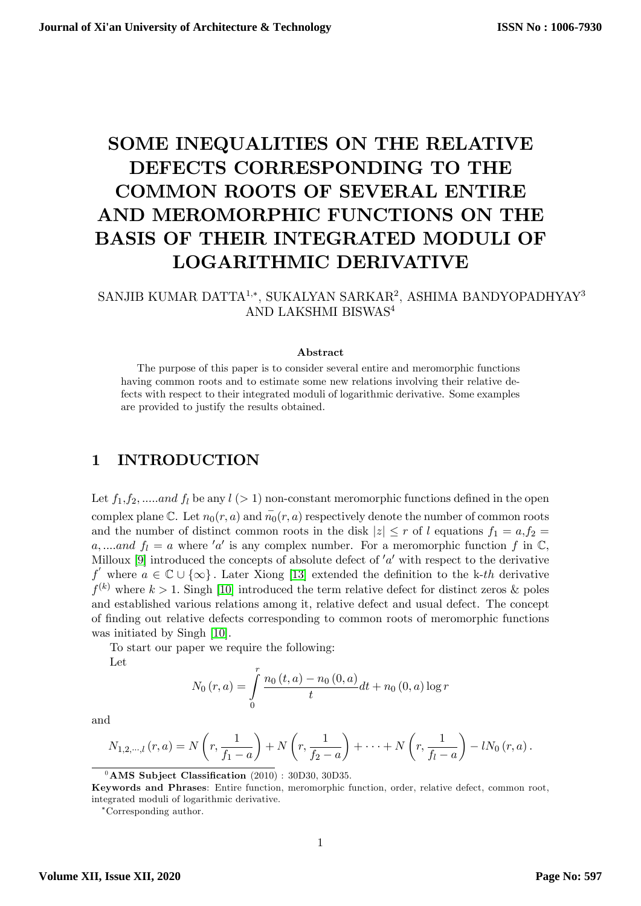# SOME INEQUALITIES ON THE RELATIVE DEFECTS CORRESPONDING TO THE COMMON ROOTS OF SEVERAL ENTIRE AND MEROMORPHIC FUNCTIONS ON THE BASIS OF THEIR INTEGRATED MODULI OF LOGARITHMIC DERIVATIVE

#### SANJIB KUMAR DATTA $^{1,\ast},$ SUKALYAN SARKAR $^{2},$ ASHIMA BANDYOPADHYAY $^{3}$ AND LAKSHMI BISWAS<sup>4</sup>

#### Abstract

The purpose of this paper is to consider several entire and meromorphic functions having common roots and to estimate some new relations involving their relative defects with respect to their integrated moduli of logarithmic derivative. Some examples are provided to justify the results obtained.

## 1 INTRODUCTION

Let  $f_1, f_2, \dots$  and  $f_l$  be any  $l$  (> 1) non-constant meromorphic functions defined in the open complex plane  $\mathbb C$ . Let  $n_0(r, a)$  and  $\overline{n_0}(r, a)$  respectively denote the number of common roots and the number of distinct common roots in the disk  $|z| \le r$  of l equations  $f_1 = a, f_2 =$ a,...and  $f_l = a$  where 'a' is any complex number. For a meromorphic function f in  $\mathbb{C}$ , Milloux [\[9\]](#page-14-0) introduced the concepts of absolute defect of  $'a'$  with respect to the derivative f' where  $a \in \mathbb{C} \cup \{\infty\}$ . Later Xiong [\[13\]](#page-14-1) extended the definition to the k-th derivative  $f^{(k)}$  where  $k > 1$ . Singh [\[10\]](#page-14-2) introduced the term relative defect for distinct zeros & poles and established various relations among it, relative defect and usual defect. The concept of Önding out relative defects corresponding to common roots of meromorphic functions was initiated by Singh [\[10\]](#page-14-2).

To start our paper we require the following:

Let

$$
N_0(r, a) = \int_0^r \frac{n_0(t, a) - n_0(0, a)}{t} dt + n_0(0, a) \log r
$$

and

$$
N_{1,2,\cdots,l}\left(r,a\right)=N\left(r,\frac{1}{f_1-a}\right)+N\left(r,\frac{1}{f_2-a}\right)+\cdots+N\left(r,\frac{1}{f_l-a}\right)-lN_0\left(r,a\right).
$$

 $0$ AMS Subject Classification (2010) : 30D30, 30D35.

Keywords and Phrases: Entire function, meromorphic function, order, relative defect, common root, integrated moduli of logarithmic derivative.

Corresponding author.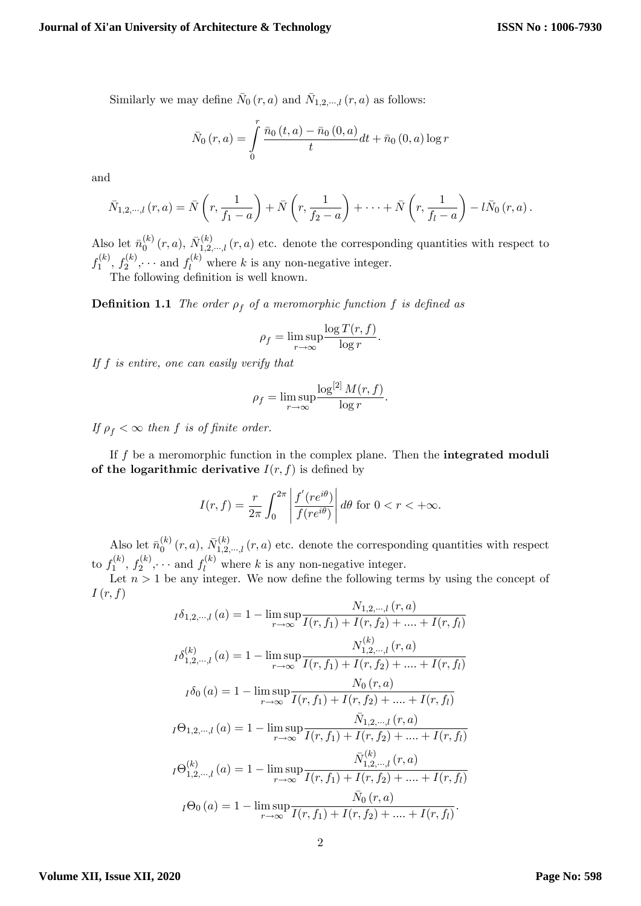Similarly we may define  $\bar{N}_0(r, a)$  and  $\bar{N}_{1,2,\dots,l}(r, a)$  as follows:

$$
\bar{N}_0(r,a) = \int\limits_0^r {\frac{{\bar{n}_0 \left( {t,a} \right) - \bar{n}_0 \left( {0,a} \right)}}{t}dt} + \bar{n}_0 \left( {0,a} \right)\log r
$$

and

$$
\bar{N}_{1,2,\cdots,l}(r,a) = \bar{N}\left(r,\frac{1}{f_1-a}\right) + \bar{N}\left(r,\frac{1}{f_2-a}\right) + \cdots + \bar{N}\left(r,\frac{1}{f_l-a}\right) - l\bar{N}_0(r,a).
$$

Also let  $\bar{n}_0^{(k)}$  $\bar{N}_0^{(k)}(r, a), \, \bar{N}_{1,2,\cdots,l}^{(k)}(r, a)$  etc. denote the corresponding quantities with respect to  $f_1^{(k)}$  $f_1^{(k)}, f_2^{(k)}$  $f_2^{(k)}, \dots$  and  $f_l^{(k)}$  where k is any non-negative integer. The following definition is well known.

**Definition 1.1** The order  $\rho_f$  of a meromorphic function f is defined as

$$
\rho_f = \limsup_{r \to \infty} \frac{\log T(r, f)}{\log r}.
$$

If f is entire, one can easily verify that

$$
\rho_f = \limsup_{r \to \infty} \frac{\log^{[2]} M(r, f)}{\log r}.
$$

If  $\rho_f < \infty$  then f is of finite order.

If  $f$  be a meromorphic function in the complex plane. Then the **integrated moduli** of the logarithmic derivative  $I(r, f)$  is defined by

$$
I(r, f) = \frac{r}{2\pi} \int_0^{2\pi} \left| \frac{f'(re^{i\theta})}{f(re^{i\theta})} \right| d\theta \text{ for } 0 < r < +\infty.
$$

Also let  $\bar{n}_0^{(k)}$  $\bar{N}_0^{(k)}(r, a), \bar{N}_{1,2,\dots,l}^{(k)}(r, a)$  etc. denote the corresponding quantities with respect to  $f_1^{(k)}$  $f_1^{(k)}, f_2^{(k)}$  $f_2^{(k)}, \dots$  and  $f_l^{(k)}$  where k is any non-negative integer.

Let  $n > 1$  be any integer. We now define the following terms by using the concept of  $I(r, f)$ 

$$
I_{0,2,\dots,l}(a) = 1 - \limsup_{r \to \infty} \frac{N_{1,2,\dots,l}(r,a)}{I(r,f_1) + I(r,f_2) + \dots + I(r,f_l)}
$$
  
\n
$$
I_{0,2,\dots,l}(a) = 1 - \limsup_{r \to \infty} \frac{N_{1,2,\dots,l}(r,a)}{I(r,f_1) + I(r,f_2) + \dots + I(r,f_l)}
$$
  
\n
$$
I_{0,0}(a) = 1 - \limsup_{r \to \infty} \frac{N_{0}(r,a)}{I(r,f_1) + I(r,f_2) + \dots + I(r,f_l)}
$$
  
\n
$$
I_{0,2,\dots,l}(a) = 1 - \limsup_{r \to \infty} \frac{\bar{N}_{1,2,\dots,l}(r,a)}{I(r,f_1) + I(r,f_2) + \dots + I(r,f_l)}
$$
  
\n
$$
I_{0,2,\dots,l}(a) = 1 - \limsup_{r \to \infty} \frac{\bar{N}_{1,2,\dots,l}(r,a)}{I(r,f_1) + I(r,f_2) + \dots + I(r,f_l)}
$$
  
\n
$$
I_{0,0}(a) = 1 - \limsup_{r \to \infty} \frac{\bar{N}_{0}(r,a)}{I(r,f_1) + I(r,f_2) + \dots + I(r,f_l)}
$$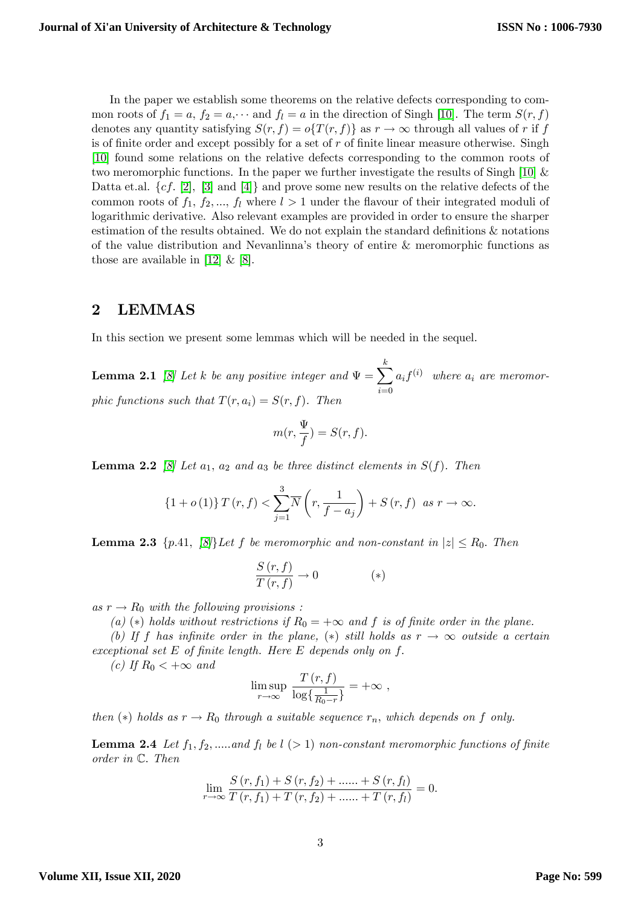In the paper we establish some theorems on the relative defects corresponding to common roots of  $f_1 = a$ ,  $f_2 = a$ ,  $\cdots$  and  $f_l = a$  in the direction of Singh [[10](#page-14-2)]. The term  $S(r, f)$ denotes any quantity satisfying  $S(r, f) = o\{T(r, f)\}\$ as  $r \to \infty$  through all values of r if f is of finite order and except possibly for a set of r of finite linear measure otherwise. Singh [[10](#page-14-2)] found some relations on the relative defects corresponding to the common roots of two meromorphic functions. In the paper we further investigate the results of Singh [[10](#page-14-2)] & Datta et.al.  $\{cf. [2], [3] \text{ and } [4]\}$  $\{cf. [2], [3] \text{ and } [4]\}$  $\{cf. [2], [3] \text{ and } [4]\}$  $\{cf. [2], [3] \text{ and } [4]\}$  $\{cf. [2], [3] \text{ and } [4]\}$  $\{cf. [2], [3] \text{ and } [4]\}$  $\{cf. [2], [3] \text{ and } [4]\}$  and prove some new results on the relative defects of the common roots of  $f_1, f_2, ..., f_l$  where  $l > 1$  under the flavour of their integrated moduli of logarithmic derivative. Also relevant examples are provided in order to ensure the sharper estimation of the results obtained. We do not explain the standard definitions  $\&$  notations of the value distribution and Nevanlinna's theory of entire  $&$  meromorphic functions as those are available in [[12](#page-14-6)]  $\&$  [[8](#page-14-7)].

## 2 LEMMAS

<span id="page-2-2"></span>In this section we present some lemmas which will be needed in the sequel.

**Lemma 2.1** [\[8\]](#page-14-7) Let k be any positive integer and  $\Psi = \sum_{k=1}^{k}$  $i=0$  $a_i f^{(i)}$  where  $a_i$  are meromorphic functions such that  $T(r, a_i) = S(r, f)$ . Then

$$
m(r,\frac{\Psi}{f})=S(r,f).
$$

<span id="page-2-3"></span>**Lemma 2.2** [\[8\]](#page-14-7) Let  $a_1$ ,  $a_2$  and  $a_3$  be three distinct elements in  $S(f)$ . Then

$$
\{1+o(1)\}\,T(r,f)<\sum_{j=1}^3\overline{N}\left(r,\frac{1}{f-a_j}\right)+S\left(r,f\right)\,\text{ as }r\to\infty.
$$

<span id="page-2-0"></span>**Lemma 2.3** {p.41,  $\{8\}$  Let f be meromorphic and non-constant in  $|z| \le R_0$ . Then

$$
\frac{S(r,f)}{T(r,f)} \to 0 \tag{*}
$$

as  $r \to R_0$  with the following provisions :

(a) (\*) holds without restrictions if  $R_0 = +\infty$  and f is of finite order in the plane.

(b) If f has infinite order in the plane, (\*) still holds as  $r \to \infty$  outside a certain exceptional set  $E$  of finite length. Here  $E$  depends only on  $f$ .

(c) If  $R_0 < +\infty$  and

$$
\limsup_{r \to \infty} \frac{T(r, f)}{\log\left\{\frac{1}{R_0 - r}\right\}} = +\infty ,
$$

then (\*) holds as  $r \to R_0$  through a suitable sequence  $r_n$ , which depends on f only.

<span id="page-2-1"></span>**Lemma 2.4** Let  $f_1, f_2, \ldots$  and  $f_l$  be  $l > 1$  non-constant meromorphic functions of finite order in  $\mathbb{C}$ . Then

$$
\lim_{r \to \infty} \frac{S(r, f_1) + S(r, f_2) + \dots + S(r, f_l)}{T(r, f_1) + T(r, f_2) + \dots + T(r, f_l)} = 0.
$$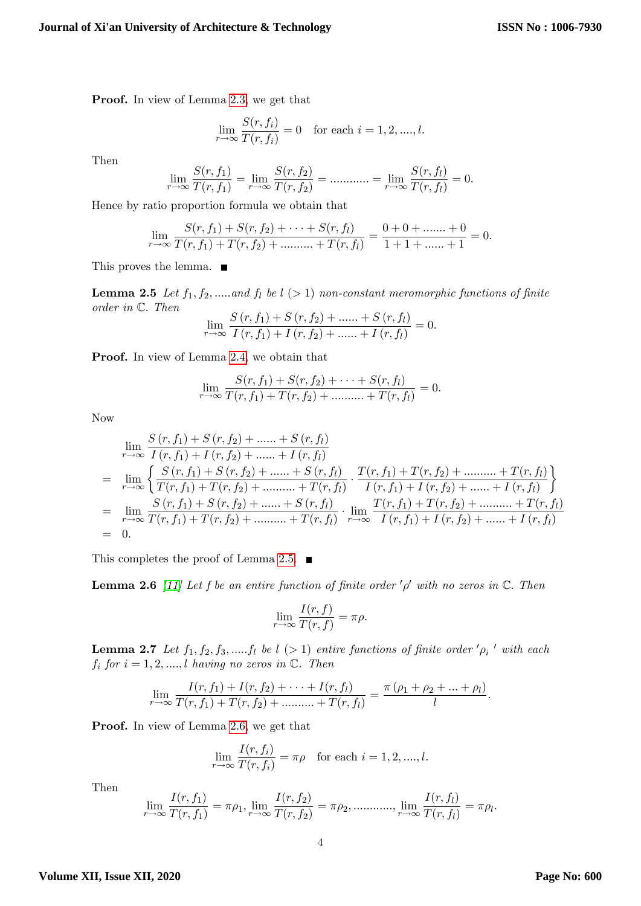Proof. In view of Lemma [2.3,](#page-2-0) we get that

$$
\lim_{r \to \infty} \frac{S(r, f_i)}{T(r, f_i)} = 0 \text{ for each } i = 1, 2, ..., l.
$$

Then

$$
\lim_{r \to \infty} \frac{S(r, f_1)}{T(r, f_1)} = \lim_{r \to \infty} \frac{S(r, f_2)}{T(r, f_2)} = \dots \dots \dots = \lim_{r \to \infty} \frac{S(r, f_l)}{T(r, f_l)} = 0.
$$

Hence by ratio proportion formula we obtain that

$$
\lim_{r \to \infty} \frac{S(r, f_1) + S(r, f_2) + \dots + S(r, f_l)}{T(r, f_1) + T(r, f_2) + \dots + T(r, f_l)} = \frac{0 + 0 + \dots + 0}{1 + 1 + \dots + 1} = 0.
$$

<span id="page-3-0"></span>This proves the lemma. ■

**Lemma 2.5** Let  $f_1, f_2, \ldots$  and  $f_l$  be  $l$  (> 1) non-constant meromorphic functions of finite order in  $\mathbb{C}$ . Then  $S(\mathbf{r}, \mathbf{r}) + S(\mathbf{r}, \mathbf{r}) + S(\mathbf{r}, \mathbf{r})$ 

$$
\lim_{r \to \infty} \frac{S(r, f_1) + S(r, f_2) + \dots + S(r, f_l)}{I(r, f_1) + I(r, f_2) + \dots + I(r, f_l)} = 0.
$$

Proof. In view of Lemma [2.4,](#page-2-1) we obtain that

$$
\lim_{r \to \infty} \frac{S(r, f_1) + S(r, f_2) + \dots + S(r, f_l)}{T(r, f_1) + T(r, f_2) + \dots + T(r, f_l)} = 0.
$$

Now

$$
\lim_{r \to \infty} \frac{S(r, f_1) + S(r, f_2) + \dots + S(r, f_l)}{I(r, f_1) + I(r, f_2) + \dots + I(r, f_l)}
$$
\n
$$
= \lim_{r \to \infty} \left\{ \frac{S(r, f_1) + S(r, f_2) + \dots + S(r, f_l)}{T(r, f_1) + T(r, f_2) + \dots + T(r, f_l)} \cdot \frac{T(r, f_1) + T(r, f_2) + \dots + T(r, f_l)}{I(r, f_1) + I(r, f_2) + \dots + I(r, f_l)} \right\}
$$
\n
$$
= \lim_{r \to \infty} \frac{S(r, f_1) + S(r, f_2) + \dots + S(r, f_l)}{T(r, f_1) + T(r, f_2) + \dots + T(r, f_l)} \cdot \lim_{r \to \infty} \frac{T(r, f_1) + T(r, f_2) + \dots + T(r, f_l)}{I(r, f_1) + I(r, f_2) + \dots + I(r, f_l)}
$$
\n
$$
= 0.
$$

<span id="page-3-1"></span>This completes the proof of Lemma [2.5.](#page-3-0)  $\blacksquare$ 

**Lemma 2.6** [\[11\]](#page-14-8) Let f be an entire function of finite order  $'\rho'$  with no zeros in  $\mathbb{C}$ . Then

$$
\lim_{r \to \infty} \frac{I(r, f)}{T(r, f)} = \pi \rho.
$$

<span id="page-3-2"></span>**Lemma 2.7** Let  $f_1, f_2, f_3, \dots, f_l$  be  $l$  (> 1) entire functions of finite order ' $\rho_i$ ' with each  $f_i$  for  $i = 1, 2, ..., l$  having no zeros in  $\mathbb{C}$ . Then

$$
\lim_{r \to \infty} \frac{I(r, f_1) + I(r, f_2) + \cdots + I(r, f_l)}{T(r, f_1) + T(r, f_2) + \cdots + T(r, f_l)} = \frac{\pi (\rho_1 + \rho_2 + \cdots + \rho_l)}{l}.
$$

Proof. In view of Lemma [2.6,](#page-3-1) we get that

$$
\lim_{r \to \infty} \frac{I(r, f_i)}{T(r, f_i)} = \pi \rho \text{ for each } i = 1, 2, ..., l.
$$

Then

$$
\lim_{r \to \infty} \frac{I(r, f_1)}{T(r, f_1)} = \pi \rho_1, \lim_{r \to \infty} \frac{I(r, f_2)}{T(r, f_2)} = \pi \rho_2, \dots, \lim_{r \to \infty} \frac{I(r, f_l)}{T(r, f_l)} = \pi \rho_l.
$$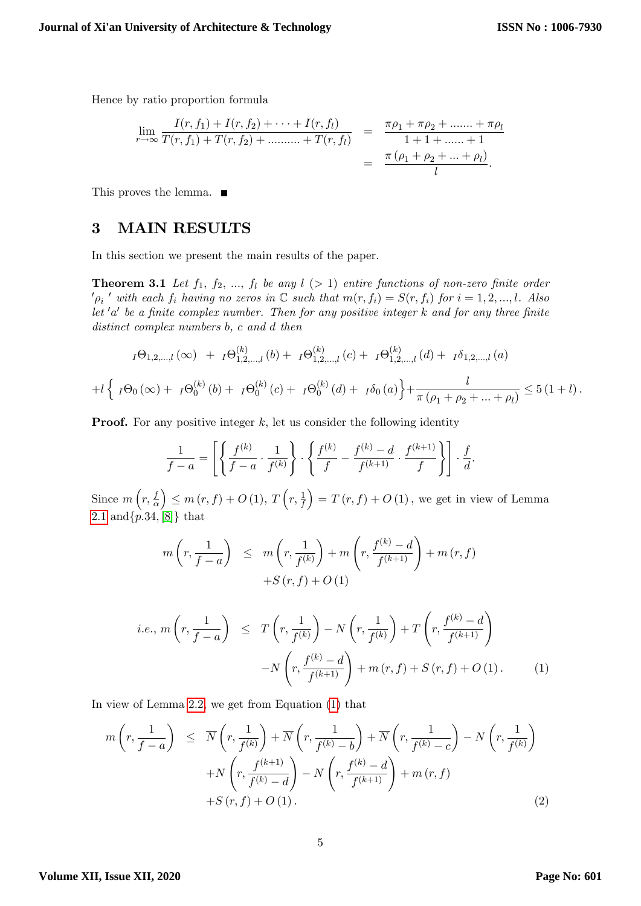Hence by ratio proportion formula

$$
\lim_{r \to \infty} \frac{I(r, f_1) + I(r, f_2) + \dots + I(r, f_l)}{T(r, f_1) + T(r, f_2) + \dots + T(r, f_l)} = \frac{\pi \rho_1 + \pi \rho_2 + \dots + \pi \rho_l}{1 + 1 + \dots + 1}
$$

$$
= \frac{\pi (\rho_1 + \rho_2 + \dots + \rho_l)}{l}.
$$

This proves the lemma. ■

## 3 MAIN RESULTS

<span id="page-4-2"></span>In this section we present the main results of the paper.

**Theorem 3.1** Let  $f_1, f_2, ..., f_l$  be any  $l > 1$  entire functions of non-zero finite order  $\mathcal{O}_p$ ' with each  $f_i$  having no zeros in  $\mathbb C$  such that  $m(r, f_i) = S(r, f_i)$  for  $i = 1, 2, ..., l$ . Also let  $'a'$  be a finite complex number. Then for any positive integer k and for any three finite distinct complex numbers b, c and d then

$$
I\Theta_{1,2,...,l}(\infty) + I\Theta_{1,2,...,l}^{(k)}(b) + I\Theta_{1,2,...,l}^{(k)}(c) + I\Theta_{1,2,...,l}^{(k)}(d) + I\delta_{1,2,...,l}(a)
$$
  
+
$$
I\left\{ I\Theta_{0}(\infty) + I\Theta_{0}^{(k)}(b) + I\Theta_{0}^{(k)}(c) + I\Theta_{0}^{(k)}(d) + I\delta_{0}(a) \right\} + \frac{l}{\pi(\rho_{1} + \rho_{2} + ... + \rho_{l})} \leq 5(1+l).
$$

**Proof.** For any positive integer  $k$ , let us consider the following identity

$$
\frac{1}{f-a} = \left[ \left\{ \frac{f^{(k)}}{f-a} \cdot \frac{1}{f^{(k)}} \right\} \cdot \left\{ \frac{f^{(k)}}{f} - \frac{f^{(k)} - d}{f^{(k+1)}} \cdot \frac{f^{(k+1)}}{f} \right\} \right] \cdot \frac{f}{d}.
$$

Since  $m(r, \frac{f}{g})$  $\overline{\alpha}$  $\Big) \leq m(r, f) + O(1), T\left(r, \frac{1}{f}\right)$  $= T (r, f) + O (1)$ , we get in view of Lemma [2.1](#page-2-2) and  $\{p.34, [8]\}\)$  $\{p.34, [8]\}\)$  $\{p.34, [8]\}\)$  that

$$
m\left(r, \frac{1}{f-a}\right) \leq m\left(r, \frac{1}{f^{(k)}}\right) + m\left(r, \frac{f^{(k)}-d}{f^{(k+1)}}\right) + m(r, f)
$$

$$
+S(r, f) + O(1)
$$

<span id="page-4-0"></span>i.e., 
$$
m\left(r, \frac{1}{f-a}\right) \leq T\left(r, \frac{1}{f^{(k)}}\right) - N\left(r, \frac{1}{f^{(k)}}\right) + T\left(r, \frac{f^{(k)} - d}{f^{(k+1)}}\right)
$$
  

$$
-N\left(r, \frac{f^{(k)} - d}{f^{(k+1)}}\right) + m(r, f) + S(r, f) + O(1).
$$
 (1)

In view of Lemma [2.2,](#page-2-3) we get from Equation [\(1\)](#page-4-0) that

<span id="page-4-1"></span>
$$
m\left(r, \frac{1}{f-a}\right) \leq \overline{N}\left(r, \frac{1}{f^{(k)}}\right) + \overline{N}\left(r, \frac{1}{f^{(k)}-b}\right) + \overline{N}\left(r, \frac{1}{f^{(k)}-c}\right) - N\left(r, \frac{1}{f^{(k)}}\right)
$$

$$
+ N\left(r, \frac{f^{(k+1)}}{f^{(k)}-d}\right) - N\left(r, \frac{f^{(k)}-d}{f^{(k+1)}}\right) + m\left(r, f\right)
$$

$$
+ S\left(r, f\right) + O\left(1\right). \tag{2}
$$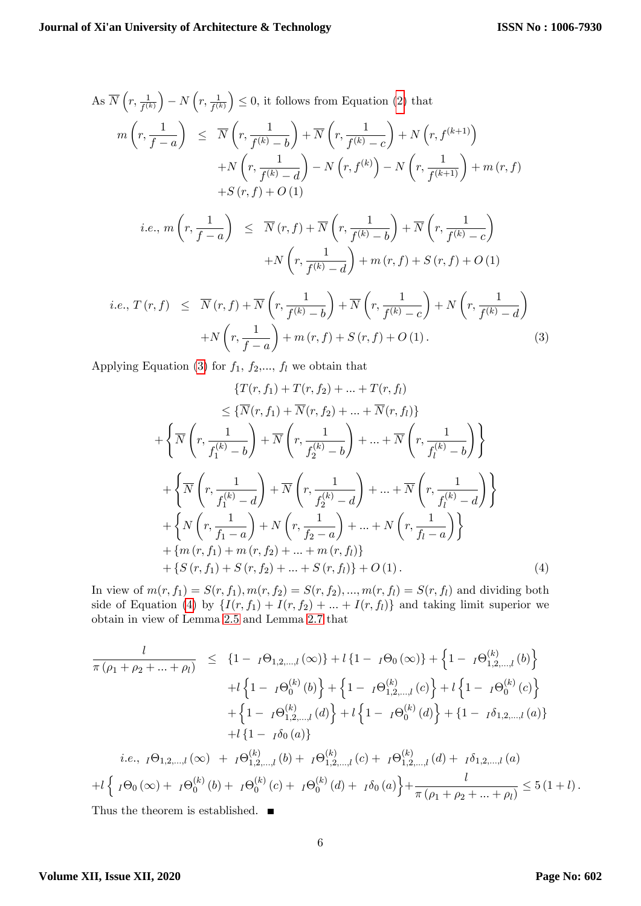As 
$$
\overline{N}\left(r, \frac{1}{f^{(k)}}\right) - N\left(r, \frac{1}{f^{(k)}}\right) \le 0
$$
, it follows from Equation (2) that  
\n
$$
m\left(r, \frac{1}{f-a}\right) \le \overline{N}\left(r, \frac{1}{f^{(k)}-b}\right) + \overline{N}\left(r, \frac{1}{f^{(k)}-c}\right) + N\left(r, f^{(k+1)}\right)
$$
\n
$$
+ N\left(r, \frac{1}{f^{(k)}-d}\right) - N\left(r, f^{(k)}\right) - N\left(r, \frac{1}{f^{(k+1)}}\right) + m\left(r, f\right)
$$
\n
$$
+ S\left(r, f\right) + O\left(1\right)
$$
\ni.e.,  $m\left(r, \frac{1}{f-a}\right) \le \overline{N}\left(r, f\right) + \overline{N}\left(r, \frac{1}{f^{(k)}-b}\right) + \overline{N}\left(r, \frac{1}{f^{(k)}-c}\right)$   
\n
$$
+ N\left(r, \frac{1}{f^{(k)}-d}\right) + m\left(r, f\right) + S\left(r, f\right) + O\left(1\right)
$$

<span id="page-5-0"></span>
$$
i.e., T(r,f) \leq \overline{N}(r,f) + \overline{N}\left(r, \frac{1}{f^{(k)} - b}\right) + \overline{N}\left(r, \frac{1}{f^{(k)} - c}\right) + N\left(r, \frac{1}{f^{(k)} - d}\right)
$$

$$
+ N\left(r, \frac{1}{f - a}\right) + m(r,f) + S(r,f) + O(1). \tag{3}
$$

Applying Equation [\(3\)](#page-5-0) for  $f_1$ ,  $f_2$ ,...,  $f_l$  we obtain that

$$
\{T(r, f_1) + T(r, f_2) + \dots + T(r, f_l)\}
$$
  
\n
$$
\leq \{\overline{N}(r, f_1) + \overline{N}(r, f_2) + \dots + \overline{N}(r, f_l)\}
$$
  
\n
$$
+ \left\{\overline{N}\left(r, \frac{1}{f_1^{(k)} - b}\right) + \overline{N}\left(r, \frac{1}{f_2^{(k)} - b}\right) + \dots + \overline{N}\left(r, \frac{1}{f_l^{(k)} - b}\right)\right\}
$$
  
\n
$$
+ \left\{\overline{N}\left(r, \frac{1}{f_1^{(k)} - d}\right) + \overline{N}\left(r, \frac{1}{f_2^{(k)} - d}\right) + \dots + \overline{N}\left(r, \frac{1}{f_l^{(k)} - d}\right)\right\}
$$
  
\n
$$
+ \left\{N\left(r, \frac{1}{f_1 - a}\right) + N\left(r, \frac{1}{f_2 - a}\right) + \dots + N\left(r, \frac{1}{f_l - a}\right)\right\}
$$
  
\n
$$
+ \{m(r, f_1) + m(r, f_2) + \dots + m(r, f_l)\}
$$
  
\n
$$
+ \{S(r, f_1) + S(r, f_2) + \dots + S(r, f_l)\} + O(1).
$$
  
\n(4)

<span id="page-5-1"></span>In view of  $m(r, f_1) = S(r, f_1), m(r, f_2) = S(r, f_2), ..., m(r, f_l) = S(r, f_l)$  and dividing both side of Equation [\(4\)](#page-5-1) by  $\{I(r, f_1) + I(r, f_2) + ... + I(r, f_l)\}\$  and taking limit superior we obtain in view of Lemma [2.5](#page-3-0) and Lemma [2.7](#page-3-2) that

$$
\frac{l}{\pi(\rho_1 + \rho_2 + \dots + \rho_l)} \leq \{1 - I\Theta_{1,2,\dots,l}(\infty)\} + l\{1 - I\Theta_{0}(\infty)\} + \left\{1 - I\Theta_{1,2,\dots,l}^{(k)}(b)\right\} \n+ l\left\{1 - I\Theta_{0}^{(k)}(b)\right\} + \left\{1 - I\Theta_{1,2,\dots,l}^{(k)}(c)\right\} + l\left\{1 - I\Theta_{0}^{(k)}(c)\right\} \n+ \left\{1 - I\Theta_{1,2,\dots,l}^{(k)}(d)\right\} + l\left\{1 - I\Theta_{0}^{(k)}(d)\right\} + \{1 - I\delta_{1,2,\dots,l}(a)\} \n+ l\{1 - I\delta_{0}(a)\}
$$
\n*i.e.*,  $I\Theta_{1,2,\dots,l}(\infty) + I\Theta_{1,2,\dots,l}^{(k)}(b) + I\Theta_{1,2,\dots,l}^{(k)}(c) + I\Theta_{1,2,\dots,l}^{(k)}(d) + I\delta_{1,2,\dots,l}(a)$   
\n+ l\left\{I\Theta\_{0}(\infty) + I\Theta\_{0}^{(k)}(b) + I\Theta\_{0}^{(k)}(c) + I\Theta\_{0}^{(k)}(d) + I\delta\_{0}(a)\right\} + \frac{l}{\pi(\rho\_1 + \rho\_2 + \dots + \rho\_l)} \leq 5(1+l).\nThus the theorem is established.

<span id="page-5-2"></span>Thus the theorem is established.

#### **Volume XII, Issue XII, 2020**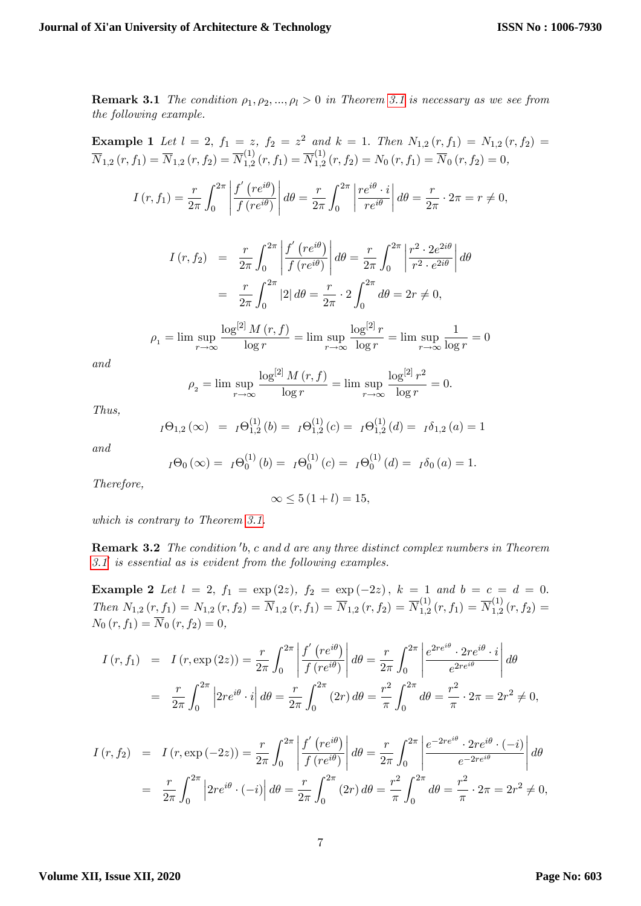**Remark [3.1](#page-4-2)** The condition  $\rho_1, \rho_2, ..., \rho_l > 0$  in Theorem 3.1 is necessary as we see from the following example.

**Example 1** Let 
$$
l = 2
$$
,  $f_1 = z$ ,  $f_2 = z^2$  and  $k = 1$ . Then  $N_{1,2}(r, f_1) = N_{1,2}(r, f_2) = \overline{N}_{1,2}(r, f_1) = \overline{N}_{1,2}(r, f_2) = \overline{N}_{1,2}^{(1)}(r, f_1) = \overline{N}_{1,2}^{(1)}(r, f_2) = N_0(r, f_1) = \overline{N}_0(r, f_2) = 0$ ,

$$
I(r, f_1) = \frac{r}{2\pi} \int_0^{2\pi} \left| \frac{f'(re^{i\theta})}{f(re^{i\theta})} \right| d\theta = \frac{r}{2\pi} \int_0^{2\pi} \left| \frac{re^{i\theta} \cdot i}{re^{i\theta}} \right| d\theta = \frac{r}{2\pi} \cdot 2\pi = r \neq 0,
$$

$$
I(r, f_2) = \frac{r}{2\pi} \int_0^{2\pi} \left| \frac{f'(re^{i\theta})}{f(re^{i\theta})} \right| d\theta = \frac{r}{2\pi} \int_0^{2\pi} \left| \frac{r^2 \cdot 2e^{2i\theta}}{r^2 \cdot e^{2i\theta}} \right| d\theta
$$

$$
= \frac{r}{2\pi} \int_0^{2\pi} |2| d\theta = \frac{r}{2\pi} \cdot 2 \int_0^{2\pi} d\theta = 2r \neq 0,
$$

$$
\rho_1 = \limsup_{r \to \infty} \frac{\log^{[2]} M(r, f)}{\log r} = \limsup_{r \to \infty} \frac{\log^{[2]} r}{\log r} = \limsup_{r \to \infty} \frac{1}{\log r} = 0
$$

and

$$
\rho_2 = \lim \sup_{r \to \infty} \frac{\log^{[2]} M(r, f)}{\log r} = \lim \sup_{r \to \infty} \frac{\log^{[2]} r^2}{\log r} = 0.
$$

Thus,

$$
I\Theta_{1,2}(\infty) = I\Theta_{1,2}^{(1)}(b) = I\Theta_{1,2}^{(1)}(c) = I\Theta_{1,2}^{(1)}(d) = I\delta_{1,2}(a) = 1
$$

and

$$
I\Theta_0(\infty) = I\Theta_0^{(1)}(b) = I\Theta_0^{(1)}(c) = I\Theta_0^{(1)}(d) = I\delta_0(a) = 1.
$$

Therefore,

$$
\infty \le 5(1+l) = 15,
$$

which is contrary to Theorem [3.1.](#page-5-2)

<span id="page-6-0"></span>**Remark 3.2** The condition  $b$ , c and d are any three distinct complex numbers in Theorem  $3.1'$  $3.1'$  is essential as is evident from the following examples.

**Example 2** Let  $l = 2$ ,  $f_1 = \exp(2z)$ ,  $f_2 = \exp(-2z)$ ,  $k = 1$  and  $b = c = d = 0$ . Then  $N_{1,2}(r, f_1) = N_{1,2}(r, f_2) = \overline{N}_{1,2}(r, f_1) = \overline{N}_{1,2}(r, f_2) = \overline{N}_{1,2}^{(1)}$  $\overline{N}^{(1)}_{1,2}\left(r,f_{1}\right)=\overline{N}^{(1)}_{1,2}$  $\int_{1,2}^{1} (r, f_2) =$  $N_0 (r, f_1) = N_0 (r, f_2) = 0,$ 

$$
I(r, f_1) = I(r, \exp(2z)) = \frac{r}{2\pi} \int_0^{2\pi} \left| \frac{f'(re^{i\theta})}{f(re^{i\theta})} \right| d\theta = \frac{r}{2\pi} \int_0^{2\pi} \left| \frac{e^{2re^{i\theta}} \cdot 2re^{i\theta} \cdot i}{e^{2re^{i\theta}}} \right| d\theta
$$
  
=  $\frac{r}{2\pi} \int_0^{2\pi} \left| 2re^{i\theta} \cdot i \right| d\theta = \frac{r}{2\pi} \int_0^{2\pi} (2r) d\theta = \frac{r^2}{\pi} \int_0^{2\pi} d\theta = \frac{r^2}{\pi} \cdot 2\pi = 2r^2 \neq 0,$ 

$$
I(r, f_2) = I(r, \exp(-2z)) = \frac{r}{2\pi} \int_0^{2\pi} \left| \frac{f'(re^{i\theta})}{f(re^{i\theta})} \right| d\theta = \frac{r}{2\pi} \int_0^{2\pi} \left| \frac{e^{-2re^{i\theta}} \cdot 2re^{i\theta} \cdot (-i)}{e^{-2re^{i\theta}}} \right| d\theta
$$
  
=  $\frac{r}{2\pi} \int_0^{2\pi} \left| 2re^{i\theta} \cdot (-i) \right| d\theta = \frac{r}{2\pi} \int_0^{2\pi} (2r) d\theta = \frac{r^2}{\pi} \int_0^{2\pi} d\theta = \frac{r^2}{\pi} \cdot 2\pi = 2r^2 \neq 0,$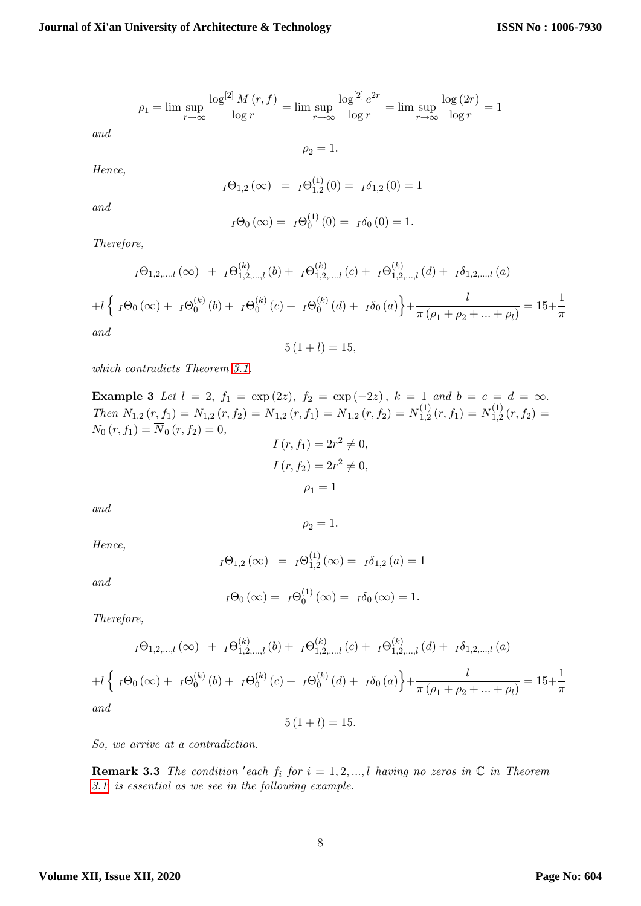$$
\rho_1 = \limsup_{r \to \infty} \frac{\log^{[2]} M(r, f)}{\log r} = \limsup_{r \to \infty} \frac{\log^{[2]} e^{2r}}{\log r} = \limsup_{r \to \infty} \frac{\log(2r)}{\log r} = 1
$$

 $\rho_2 = 1.$ 

Hence,

and

$$
I\Theta_{1,2}(\infty) = I\Theta_{1,2}^{(1)}(0) = I\delta_{1,2}(0) = 1
$$

and

$$
I\Theta_0(\infty) = I\Theta_0^{(1)}(0) = I\delta_0(0) = 1.
$$

Therefore,

$$
I\Theta_{1,2,...,l}(\infty) + I\Theta_{1,2,...,l}^{(k)}(b) + I\Theta_{1,2,...,l}^{(k)}(c) + I\Theta_{1,2,...,l}^{(k)}(d) + I\delta_{1,2,...,l}(a)
$$

$$
+ I\left\{ I\Theta_{0}(\infty) + I\Theta_{0}^{(k)}(b) + I\Theta_{0}^{(k)}(c) + I\Theta_{0}^{(k)}(d) + I\delta_{0}(a) \right\} + \frac{l}{\pi(\rho_{1} + \rho_{2} + ... + \rho_{l})} = 15 + \frac{1}{\pi}
$$

and

 $5(1+l) = 15,$ 

which contradicts Theorem [3.1.](#page-4-2)

**Example 3** Let  $l = 2$ ,  $f_1 = \exp(2z)$ ,  $f_2 = \exp(-2z)$ ,  $k = 1$  and  $b = c = d = \infty$ . Then  $N_{1,2}(r, f_1) = N_{1,2}(r, f_2) = \overline{N}_{1,2}(r, f_1) = \overline{N}_{1,2}(r, f_2) = \overline{N}_{1,2}^{(1)}$  $\overline{N}_{1,2}^{(1)}\left( r,f_{1}\right) =\overline{N}_{1,2}^{(1)}$  $\int_{1,2}^{1} (r, f_2) =$  $N_{0}\left( r,f_{1}\right) =\overline{N}_{0}\left( r,f_{2}\right) =0,$ 

$$
I(r, f1) = 2r2 \neq 0,
$$
  
\n
$$
I(r, f2) = 2r2 \neq 0,
$$
  
\n
$$
\rho1 = 1
$$

 $\rho_2 = 1.$ 

and

Hence,

$$
I\Theta_{1,2}(\infty) = I\Theta_{1,2}^{(1)}(\infty) = I\delta_{1,2}(a) = 1
$$

and

$$
I\Theta_0(\infty) = I\Theta_0^{(1)}(\infty) = I\delta_0(\infty) = 1.
$$

Therefore,

$$
I\Theta_{1,2,...,l}(\infty) + I\Theta_{1,2,...,l}^{(k)}(b) + I\Theta_{1,2,...,l}^{(k)}(c) + I\Theta_{1,2,...,l}^{(k)}(d) + I\delta_{1,2,...,l}(a)
$$
  
+
$$
I\left\{ I\Theta_{0}(\infty) + I\Theta_{0}^{(k)}(b) + I\Theta_{0}^{(k)}(c) + I\Theta_{0}^{(k)}(d) + I\delta_{0}(a) \right\} + \frac{l}{\pi(\rho_{1} + \rho_{2} + ... + \rho_{l})} = 15 + \frac{1}{\pi}
$$
  
and

and

 $5(1+l) = 15.$ 

So, we arrive at a contradiction.

**Remark 3.3** The condition 'each  $f_i$  for  $i = 1, 2, ..., l$  having no zeros in  $\mathbb C$  in Theorem  $3.1'$  $3.1'$  is essential as we see in the following example.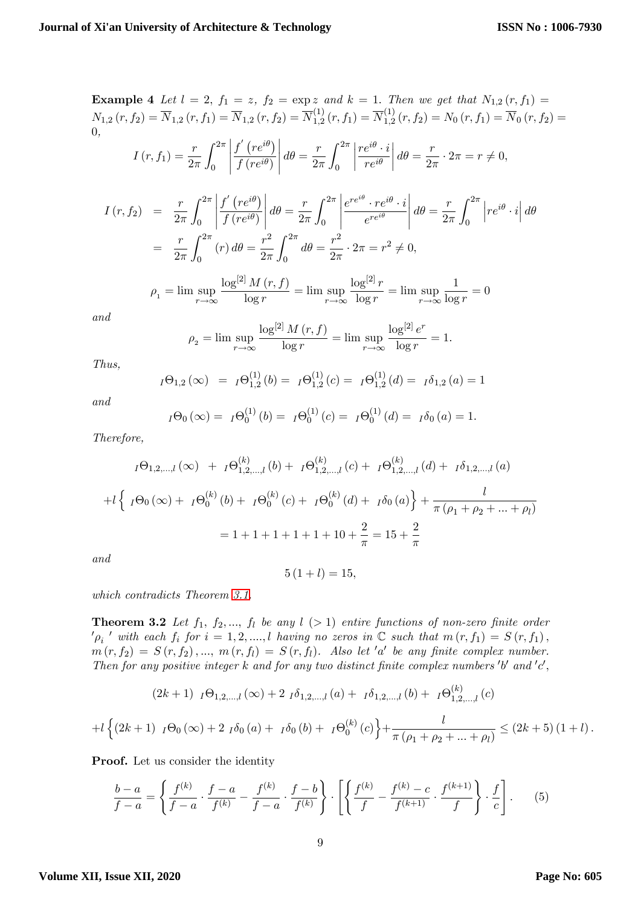**Example 4** Let  $l = 2$ ,  $f_1 = z$ ,  $f_2 = \exp z$  and  $k = 1$ . Then we get that  $N_{1,2}(r, f_1) =$  $N_{1,2}\left( r,f_{2}\right) =\overline{N}_{1,2}\left( r,f_{1}\right) =\overline{N}_{1,2}\left( r,f_{2}\right) =\overline{N}_{1,2}^{(1)}$  $\overline{N}_{1,2}^{(1)}\left( r,f_{1}\right) =\overline{N}_{1,2}^{(1)}$  $\Gamma^{(1)}_{1,2}\left(r,f_{2}\right)=N_{0}\left(r,f_{1}\right)=N_{0}\left(r,f_{2}\right)=$ 0,  $I(r, f_1) = \frac{r}{2\pi}$  $\int^{2\pi}$  $\boldsymbol{0}$   $f'(re^{i\theta})$  $f\left(re^{i\theta}\right)$   $d\theta = \frac{r}{\delta}$  $2\pi$  $\int^{2\pi}$  $\mathbf{0}$   $\frac{re^{i\theta} \cdot i}{}$  $re^{i\theta}$  $\begin{array}{c} \begin{array}{c} \begin{array}{c} \end{array} \\ \begin{array}{c} \end{array} \end{array} \end{array}$  $d\theta = \frac{r}{2}$  $\frac{1}{2\pi} \cdot 2\pi = r \neq 0,$  $I(r, f_2) = \frac{r}{2\pi}$  $\int^{2\pi}$ 0  $f'(re^{i\theta})$  $f(re^{i\theta})$   $d\theta = \frac{r}{2}$  $2\pi$  $\int^{2\pi}$ 0  $e^{re^{i\theta}}\cdot re^{i\theta}\cdot i$  $e^{re^{i\theta}}$   $d\theta = \frac{r}{2}$  $2\pi$  $\int^{2\pi}$ 0  $\left|re^{i\theta}\cdot i\right|d\theta$  $=\frac{r}{2}$  $2\pi$  $\int_0^{2\pi}$ 0  $(r) d\theta = \frac{r^2}{2}$  $2\pi$  $\int^{2\pi}$ 0  $d\theta = \frac{r^2}{2}$  $\frac{r}{2\pi} \cdot 2\pi = r^2 \neq 0,$  $\rho_1 = \limsup$  $r\rightarrow\infty$  $\log^{[2]}M\left( r,f\right)$  $\frac{\log r}{\log r} = \limsup_{r \to \infty}$  $r\rightarrow\infty$  $\log^{[2]}r$  $\frac{\log r}{\log r} = \lim \sup_{r \to \infty}$  $r \rightarrow \infty$ 1  $\frac{1}{\log r} = 0$ 

and

$$
\rho_2 = \lim \sup_{r \to \infty} \frac{\log^{[2]} M(r, f)}{\log r} = \lim \sup_{r \to \infty} \frac{\log^{[2]} e^r}{\log r} = 1.
$$

Thus,

$$
I\Theta_{1,2}(\infty) = I\Theta_{1,2}^{(1)}(b) = I\Theta_{1,2}^{(1)}(c) = I\Theta_{1,2}^{(1)}(d) = I\delta_{1,2}(a) = 1
$$

and

$$
I\Theta_0(\infty) = I\Theta_0^{(1)}(b) = I\Theta_0^{(1)}(c) = I\Theta_0^{(1)}(d) = I\delta_0(a) = 1.
$$

Therefore,

$$
I\Theta_{1,2,...,l}(\infty) + I\Theta_{1,2,...,l}^{(k)}(b) + I\Theta_{1,2,...,l}^{(k)}(c) + I\Theta_{1,2,...,l}^{(k)}(d) + I\delta_{1,2,...,l}(a)
$$
  
+
$$
I\left\{ I\Theta_{0}(\infty) + I\Theta_{0}^{(k)}(b) + I\Theta_{0}^{(k)}(c) + I\Theta_{0}^{(k)}(d) + I\delta_{0}(a) \right\} + \frac{l}{\pi(\rho_{1} + \rho_{2} + ... + \rho_{l})}
$$
  
= 1 + 1 + 1 + 1 + 1 + 10 +  $\frac{2}{\pi}$  = 15 +  $\frac{2}{\pi}$ 

an

$$
5(1+l)=15,
$$

which contradicts Theorem [3.1.](#page-4-2)

<span id="page-8-1"></span>**Theorem 3.2** Let  $f_1$ ,  $f_2$ , ...,  $f_l$  be any  $l$  (> 1) entire functions of non-zero finite order  $\nonumber{N_{\rho_i}}'$  with each  $f_i$  for  $i=1,2,....,l$  having no zeros in  $\mathbb C$  such that  $m(r,f_1)=S(r,f_1)$ ,  $m(r, f_2) = S(r, f_2), ..., m(r, f_l) = S(r, f_l)$ . Also let 'a' be any finite complex number. Then for any positive integer k and for any two distinct finite complex numbers  $'b'$  and  $'c'$ ,

$$
(2k+1) \ \ I\Theta_{1,2,\dots,l}(\infty) + 2 \ \ I\delta_{1,2,\dots,l}(a) + \ \ I\delta_{1,2,\dots,l}(b) + \ \ I\Theta_{1,2,\dots,l}^{(k)}(c)
$$

$$
+l\left\{(2k+1)\ \ _{I}\Theta_{0}\left(\infty\right)+2\ \ _{I}\delta_{0}\left(a\right)+\ \ _{I}\delta_{0}\left(b\right)+\ \ _{I}\Theta_{0}^{\left(k\right)}\left(c\right)\right\}+\frac{l}{\pi\left(\rho_{1}+\rho_{2}+...+\rho_{l}\right)}\leq\left(2k+5\right)\left(1+l\right).
$$

Proof. Let us consider the identity

<span id="page-8-0"></span>
$$
\frac{b-a}{f-a} = \left\{ \frac{f^{(k)}}{f-a} \cdot \frac{f-a}{f^{(k)}} - \frac{f^{(k)}}{f-a} \cdot \frac{f-b}{f^{(k)}} \right\} \cdot \left[ \left\{ \frac{f^{(k)}}{f} - \frac{f^{(k)}-c}{f^{(k+1)}} \cdot \frac{f^{(k+1)}}{f} \right\} \cdot \frac{f}{c} \right].
$$
 (5)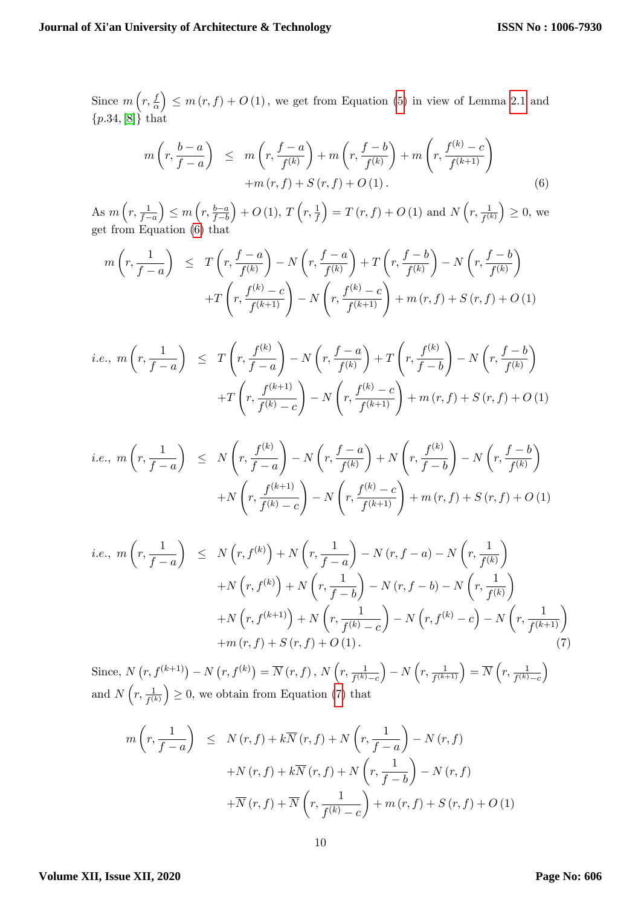Since  $m\left(r,\frac{f}{g}\right)$  $\alpha$  $\left( \sum_{i=1}^{n} \sigma_{i}(r, f) + O(1) \right)$ , we get from Equation [\(5\)](#page-8-0) in view of Lemma [2.1](#page-2-2) and  ${p.34,[8]}$  ${p.34,[8]}$  ${p.34,[8]}$  that

<span id="page-9-0"></span>
$$
m\left(r, \frac{b-a}{f-a}\right) \leq m\left(r, \frac{f-a}{f^{(k)}}\right) + m\left(r, \frac{f-b}{f^{(k)}}\right) + m\left(r, \frac{f^{(k)}-c}{f^{(k+1)}}\right) + m\left(r, f\right) + S\left(r, f\right) + O\left(1\right). \tag{6}
$$

As  $m\left(r, \frac{1}{f-a}\right)$  $\Big) \leq m \left( r, \frac{b-a}{f-b} \right)$  $+ O (1), T (r, \frac{1}{f})$  $\left( \int_{0}^{\infty} f(x, f) + O(1) \text{ and } N\left(r, \frac{1}{f^{(k)}}\right) \geq 0, \text{ we} \right)$ get from Equation [\(6\)](#page-9-0) that

$$
m\left(r, \frac{1}{f-a}\right) \leq T\left(r, \frac{f-a}{f^{(k)}}\right) - N\left(r, \frac{f-a}{f^{(k)}}\right) + T\left(r, \frac{f-b}{f^{(k)}}\right) - N\left(r, \frac{f^{-b}}{f^{(k)}}\right)
$$

$$
+T\left(r, \frac{f^{(k)}-c}{f^{(k+1)}}\right) - N\left(r, \frac{f^{(k)}-c}{f^{(k+1)}}\right) + m\left(r, f\right) + S\left(r, f\right) + O\left(1\right)
$$

i.e., 
$$
m(r, \frac{1}{f-a}) \leq T(r, \frac{f^{(k)}}{f-a}) - N(r, \frac{f-a}{f^{(k)}}) + T(r, \frac{f^{(k)}}{f-b}) - N(r, \frac{f-b}{f^{(k)}})
$$
  
  $+T(r, \frac{f^{(k+1)}}{f^{(k)}-c}) - N(r, \frac{f^{(k)}-c}{f^{(k+1)}}) + m(r, f) + S(r, f) + O(1)$ 

i.e., 
$$
m(r, \frac{1}{f-a}) \le N(r, \frac{f^{(k)}}{f-a}) - N(r, \frac{f-a}{f^{(k)}}) + N(r, \frac{f^{(k)}}{f-b}) - N(r, \frac{f-b}{f^{(k)}})
$$
  
  $+ N(r, \frac{f^{(k+1)}}{f^{(k)}-c}) - N(r, \frac{f^{(k)}-c}{f^{(k+1)}}) + m(r, f) + S(r, f) + O(1)$ 

<span id="page-9-1"></span>
$$
i.e., m\left(r, \frac{1}{f-a}\right) \leq N\left(r, f^{(k)}\right) + N\left(r, \frac{1}{f-a}\right) - N\left(r, f-a\right) - N\left(r, \frac{1}{f^{(k)}}\right)
$$

$$
+ N\left(r, f^{(k)}\right) + N\left(r, \frac{1}{f-b}\right) - N\left(r, f-b\right) - N\left(r, \frac{1}{f^{(k)}}\right)
$$

$$
+ N\left(r, f^{(k+1)}\right) + N\left(r, \frac{1}{f^{(k)}-c}\right) - N\left(r, f^{(k)}-c\right) - N\left(r, \frac{1}{f^{(k+1)}}\right)
$$

$$
+ m\left(r, f\right) + S\left(r, f\right) + O\left(1\right). \tag{7}
$$

Since,  $N(r, f^{(k+1)}) - N(r, f^{(k)}) = \overline{N}(r, f), N(r, \frac{1}{f^{(k)} - c})$  $\left( r,\frac{1}{f^{(k+1)}} \right) = \overline{N} \left( r,\frac{1}{f^{(k)}-\epsilon} \right)$  $\setminus$ and  $N\left(r, \frac{1}{f^{(k)}}\right) \geq 0$ , we obtain from Equation [\(7\)](#page-9-1) that

$$
m\left(r, \frac{1}{f-a}\right) \leq N(r, f) + k\overline{N}(r, f) + N\left(r, \frac{1}{f-a}\right) - N(r, f)
$$

$$
+ N(r, f) + k\overline{N}(r, f) + N\left(r, \frac{1}{f-b}\right) - N(r, f)
$$

$$
+ \overline{N}(r, f) + \overline{N}\left(r, \frac{1}{f^{(k)}-c}\right) + m(r, f) + S(r, f) + O(1)
$$

#### **Volume XII, Issue XII, 2020**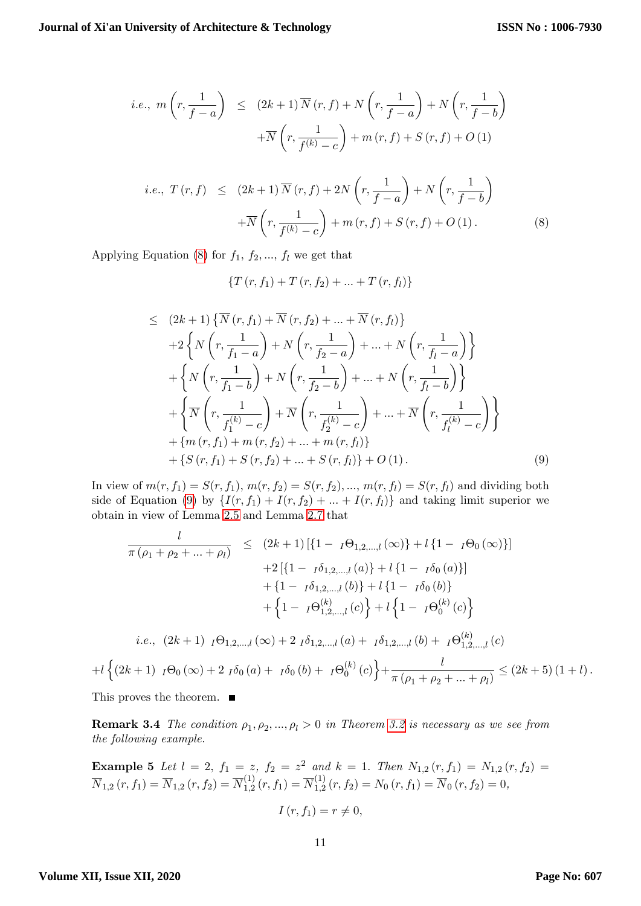i.e., 
$$
m\left(r, \frac{1}{f-a}\right) \leq (2k+1)\overline{N}(r, f) + N\left(r, \frac{1}{f-a}\right) + N\left(r, \frac{1}{f-b}\right)
$$
  

$$
+ \overline{N}\left(r, \frac{1}{f^{(k)}-c}\right) + m(r, f) + S(r, f) + O(1)
$$
  
*i.e.*,  $T(r, f) \leq (2k+1)\overline{N}(r, f) + 2N\left(r, \frac{1}{f-a}\right) + N\left(r, \frac{1}{f-b}\right)$   

$$
+ \overline{N}\left(r, \frac{1}{f^{(k)}-c}\right) + m(r, f) + S(r, f) + O(1).
$$
 (8)

<span id="page-10-0"></span>Applying Equation [\(8\)](#page-10-0) for  $f_1, f_2, ..., f_l$  we get that

$$
\{T(r, f_1) + T(r, f_2) + \ldots + T(r, f_l)\}\
$$

<span id="page-10-1"></span>
$$
\leq (2k+1)\{\overline{N}(r, f_1) + \overline{N}(r, f_2) + \dots + \overline{N}(r, f_l)\}+2\left\{N\left(r, \frac{1}{f_1 - a}\right) + N\left(r, \frac{1}{f_2 - a}\right) + \dots + N\left(r, \frac{1}{f_l - a}\right)\right\}+ \left\{N\left(r, \frac{1}{f_1 - b}\right) + N\left(r, \frac{1}{f_2 - b}\right) + \dots + N\left(r, \frac{1}{f_l - b}\right)\right\}+ \left\{\overline{N}\left(r, \frac{1}{f_1^{(k)} - c}\right) + \overline{N}\left(r, \frac{1}{f_2^{(k)} - c}\right) + \dots + \overline{N}\left(r, \frac{1}{f_l^{(k)} - c}\right)\right\}+ \left\{m(r, f_1) + m(r, f_2) + \dots + m(r, f_l)\right\}+ \left\{S(r, f_1) + S(r, f_2) + \dots + S(r, f_l)\right\} + O(1). \tag{9}
$$

In view of  $m(r, f_1) = S(r, f_1)$ ,  $m(r, f_2) = S(r, f_2)$ , ...,  $m(r, f_1) = S(r, f_1)$  and dividing both side of Equation [\(9\)](#page-10-1) by  $\{I(r, f_1) + I(r, f_2) + ... + I(r, f_l)\}\$  and taking limit superior we obtain in view of Lemma [2.5](#page-3-0) and Lemma [2.7](#page-3-2) that

$$
\frac{l}{\pi(\rho_1 + \rho_2 + \dots + \rho_l)} \leq (2k+1) [\{1 - I\Theta_{1,2,\dots,l}(\infty)\} + l \{1 - I\Theta_0(\infty)\}] \n+2 [\{1 - I\delta_{1,2,\dots,l}(a)\} + l \{1 - I\delta_0(a)\}] \n+ \{1 - I\delta_{1,2,\dots,l}(b)\} + l \{1 - I\delta_0(b)\} \n+ \{1 - I\Theta_{1,2,\dots,l}^{(k)}(c)\} + l \{1 - I\Theta_0^{(k)}(c)\} \ni.e., (2k+1) I\Theta_{1,2,\dots,l}(\infty) + 2 I\delta_{1,2,\dots,l}(a) + I\delta_{1,2,\dots,l}(b) + I\Theta_{1,2,\dots,l}^{(k)}(c) \n\{(2k+1) I\Theta_0(\infty) + 2 I\delta_0(a) + I\delta_0(b) + I\Theta_0^{(k)}(c)\} + \frac{l}{\pi(\rho_1 + \rho_2 + \dots + \rho_l)} \leq (2k+5) (1+l).
$$

This proves the theorem.  $\quad \blacksquare$ 

**Remark 3.4** The condition  $\rho_1, \rho_2, ..., \rho_l > 0$  in Theorem [3.2](#page-8-1) is necessary as we see from the following example.

**Example 5** Let 
$$
l = 2
$$
,  $f_1 = z$ ,  $f_2 = z^2$  and  $k = 1$ . Then  $N_{1,2}(r, f_1) = N_{1,2}(r, f_2) = \overline{N}_{1,2}(r, f_1) = \overline{N}_{1,2}(r, f_2) = \overline{N}_{1,2}^{(1)}(r, f_1) = \overline{N}_{1,2}^{(1)}(r, f_2) = N_0(r, f_1) = \overline{N}_0(r, f_2) = 0$ ,

$$
I(r, f_1) = r \neq 0,
$$

 $+l$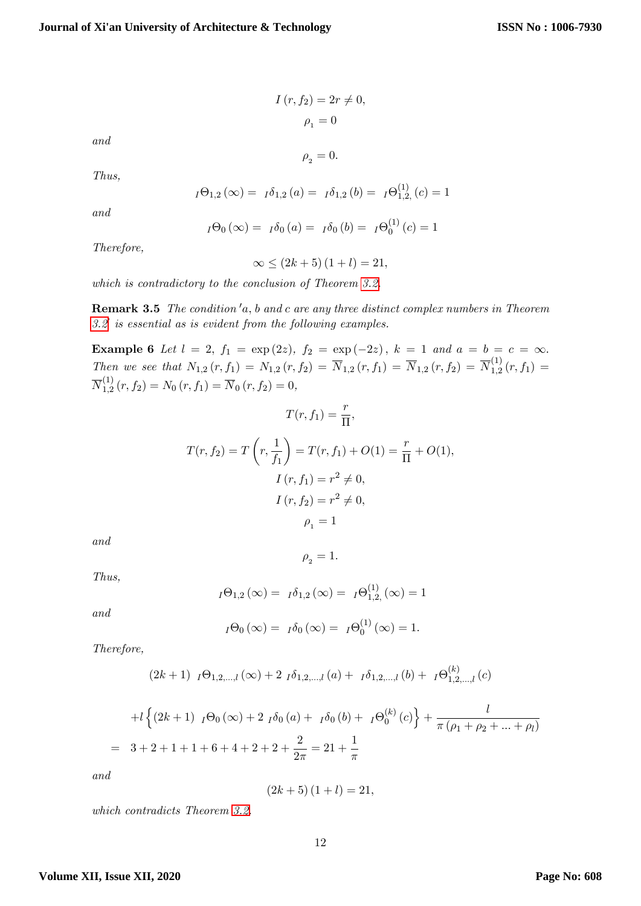$I(r, f_2) = 2r \neq 0,$  $\rho_{1} = 0$ 

and

 $\rho_{2} = 0.$ 

Thus,

$$
I\Theta_{1,2}\left(\infty\right)=I\delta_{1,2}\left(a\right)=I\delta_{1,2}\left(b\right)=I\Theta_{1,2}^{\left(1\right)}\left(c\right)=1
$$

and

$$
I\Theta_0(\infty) = I\delta_0(a) = I\delta_0(b) = I\Theta_0^{(1)}(c) = 1
$$

Therefore,

$$
\infty \le (2k+5)(1+l) = 21,
$$

which is contradictory to the conclusion of Theorem [3.2.](#page-6-0)

**Remark 3.5** The condition  $a$ , b and c are any three distinct complex numbers in Theorem  $3.2<sup>'</sup>$  $3.2<sup>'</sup>$  is essential as is evident from the following examples.

**Example 6** Let  $l = 2$ ,  $f_1 = \exp(2z)$ ,  $f_2 = \exp(-2z)$ ,  $k = 1$  and  $a = b = c = \infty$ . Then we see that  $N_{1,2}(r, f_1) = N_{1,2}(r, f_2) = \overline{N}_{1,2}(r, f_1) = \overline{N}_{1,2}(r, f_2) = \overline{N}_{1,2}^{(1)}$  $f_{1,2}^{(1)}(r,f_1) =$  $\overline{N}^{(1)}_{1.2}$  $I_{1,2}^{(1)}(r, f_2) = N_0(r, f_1) = N_0(r, f_2) = 0,$ 

$$
T(r, f_1) = \frac{r}{\Pi},
$$
  
\n
$$
T(r, f_2) = T\left(r, \frac{1}{f_1}\right) = T(r, f_1) + O(1) = \frac{r}{\Pi} + O(1),
$$
  
\n
$$
I(r, f_1) = r^2 \neq 0,
$$
  
\n
$$
I(r, f_2) = r^2 \neq 0,
$$
  
\n
$$
\rho_1 = 1
$$

and

$$
\rho_{_2}=1.
$$

Thus,

$$
I\Theta_{1,2}(\infty) = I\delta_{1,2}(\infty) = I\Theta_{1,2}^{(1)}(\infty) = 1
$$

and

$$
I\Theta_0(\infty) = I\delta_0(\infty) = I\Theta_0^{(1)}(\infty) = 1.
$$

Therefore,

$$
(2k+1) \ \ I\Theta_{1,2,\dots,l}(\infty) + 2 \ \ I\delta_{1,2,\dots,l}(a) + \ \ I\delta_{1,2,\dots,l}(b) + \ \ I\Theta_{1,2,\dots,l}^{(k)}(c)
$$

$$
+l\left\{(2k+1) \ \ {}_I\Theta_0\left(\infty\right)+2 \ \ {}_I\delta_0\left(a\right)+\ {}_I\delta_0\left(b\right)+\ {}_I\Theta_0^{(k)}\left(c\right)\right\}+\frac{l}{\pi\left(\rho_1+\rho_2+\ldots+\rho_l\right)}
$$
\n
$$
=3+2+1+1+6+4+2+2+\frac{2}{2\pi}=21+\frac{1}{\pi}
$$

and

$$
(2k+5)(1+l) = 21,
$$

which contradicts Theorem [3.2.](#page-8-1)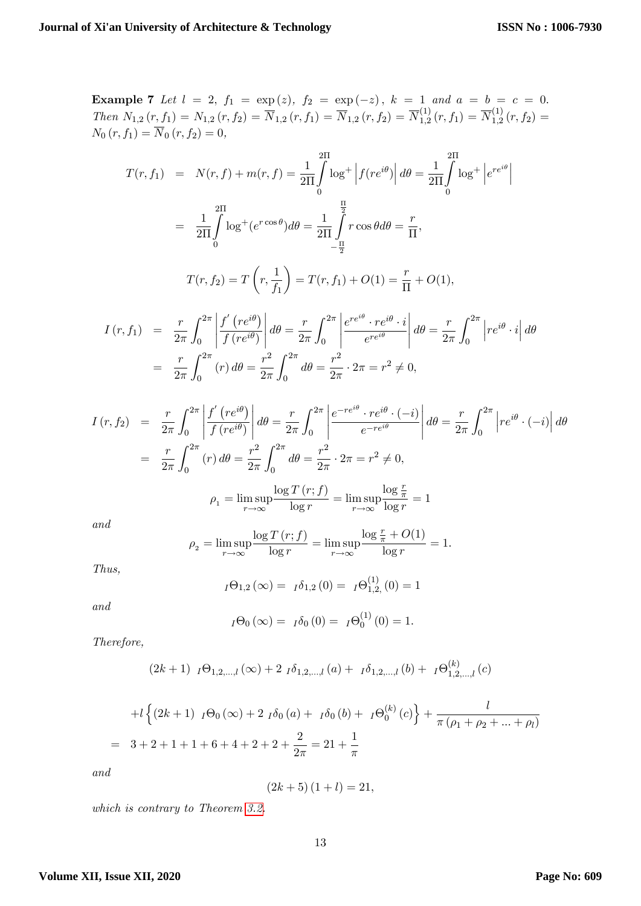Example 7 Let 
$$
l = 2
$$
,  $f_1 = \exp(z)$ ,  $f_2 = \exp(-z)$ ,  $k = 1$  and  $a = b = c = 0$ .  
\nThen  $N_{1,2}(r, f_1) = N_{1,2}(r, f_2) = \overline{N}_{1,2}(r, f_1) = \overline{N}_{1,2}(r, f_2) = \overline{N}_{1,2}^{(1)}(r, f_1) = \overline{N}_{1,2}^{(1)}(r, f_1) = \overline{N}_{1,2}^{(1)}(r, f_2) = N_0(r, f_1) = \overline{N}_0(r, f_2) = 0,$   
\n
$$
T(r, f_1) = N(r, f) + m(r, f) = \frac{1}{2\Pi} \int_0^{\Pi} \log^+ \left| f(re^{i\theta}) \right| d\theta = \frac{1}{2\Pi} \int_0^{\Pi} \log^+ \left| e^{re^{i\theta}} \right|
$$
\n
$$
= \frac{1}{2\Pi} \int_0^{\Pi} \log^+(e^{r\cos\theta}) d\theta = \frac{1}{2\Pi} \int_0^{\frac{\Pi}{2}} r \cos\theta d\theta = \frac{r}{\Pi},
$$
\n
$$
T(r, f_2) = T\left(r, \frac{1}{f_1}\right) = T(r, f_1) + O(1) = \frac{r}{\Pi} + O(1),
$$
\n
$$
I(r, f_1) = \frac{r}{2\pi} \int_0^{2\pi} \left| \frac{f'(re^{i\theta})}{f(re^{i\theta})} \right| d\theta = \frac{r}{2\pi} \int_0^{2\pi} \left| \frac{e^{re^{i\theta}} \cdot re^{i\theta} \cdot i}{e^{re^{i\theta}}} \right| d\theta = \frac{r}{2\pi} \int_0^{2\pi} \left| re^{i\theta} \cdot i \right| d\theta
$$
\n
$$
= \frac{r}{2\pi} \int_0^{2\pi} (r) d\theta = \frac{r^2}{2\pi} \int_0^{2\pi} d\theta = \frac{r^2}{2\pi} \cdot 2\pi = r^2 \neq 0,
$$
\n
$$
I(r, f_2) = \frac{r}{2\pi} \int_0^{2\pi} \left| \frac{f'(re^{i\theta
$$

$$
\rho_1 = \limsup_{r \to \infty} \frac{\log T\left(r; f\right)}{\log r} = \limsup_{r \to \infty} \frac{\log \frac{r}{\pi}}{\log r} = 1
$$

and

$$
\rho_2 = \limsup_{r \to \infty} \frac{\log T(r; f)}{\log r} = \limsup_{r \to \infty} \frac{\log \frac{r}{\pi} + O(1)}{\log r} = 1.
$$

Thus,

$$
I\Theta_{1,2}(\infty) = I\delta_{1,2}(0) = I\Theta_{1,2}^{(1)}(0) = 1
$$

and

$$
I\Theta_0(\infty) = I\delta_0(0) = I\Theta_0^{(1)}(0) = 1.
$$

Therefore,

$$
(2k+1) \ \ I\Theta_{1,2,\dots,l}(\infty) + 2 \ \ I\delta_{1,2,\dots,l}(a) + \ \ I\delta_{1,2,\dots,l}(b) + \ \ I\Theta_{1,2,\dots,l}^{(k)}(c)
$$

+
$$
l \left\{ (2k+1) \ {}_{I}\Theta_{0}(\infty) + 2 \ {}_{I}\delta_{0}(a) + {}_{I}\delta_{0}(b) + {}_{I}\Theta_{0}^{(k)}(c) \right\} + \frac{l}{\pi (\rho_{1} + \rho_{2} + ... + \rho_{l})}
$$
  
= 3+2+1+1+6+4+2+2+ $\frac{2}{2\pi}$  = 21+ $\frac{1}{\pi}$ 

and

$$
(2k+5)(1+l) = 21,
$$

which is contrary to Theorem [3.2.](#page-8-1)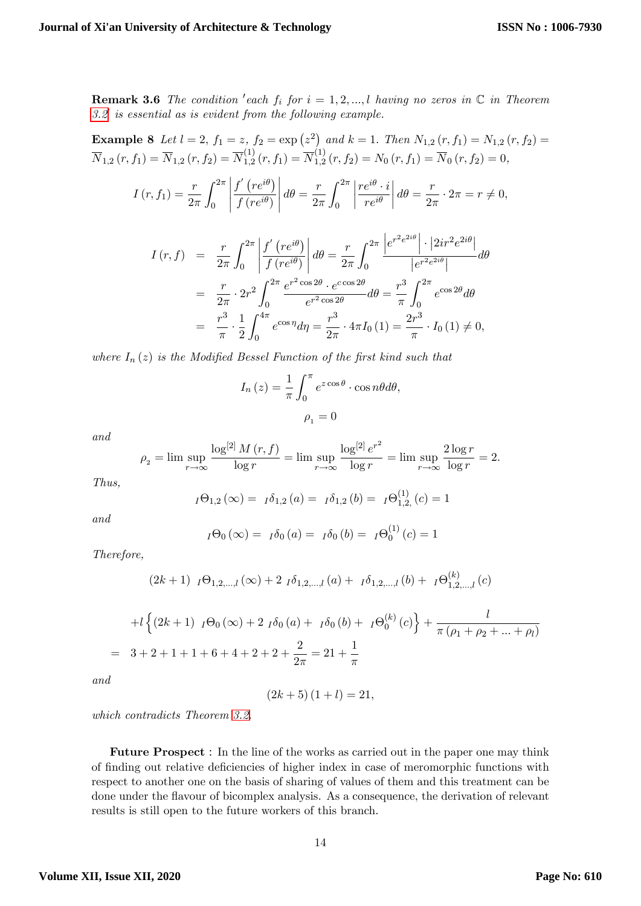**Remark 3.6** The condition 'each  $f_i$  for  $i = 1, 2, ..., l$  having no zeros in  $\mathbb C$  in Theorem  $3.2<sup>′</sup>$  $3.2<sup>′</sup>$  is essential as is evident from the following example.

**Example 8** Let 
$$
l = 2
$$
,  $f_1 = z$ ,  $f_2 = \exp(z^2)$  and  $k = 1$ . Then  $N_{1,2}(r, f_1) = N_{1,2}(r, f_2) = \overline{N}_{1,2}(r, f_1) = \overline{N}_{1,2}(r, f_2) = \overline{N}_{1,2}^{(1)}(r, f_1) = \overline{N}_{1,2}^{(1)}(r, f_2) = N_0(r, f_1) = \overline{N}_0(r, f_2) = 0$ ,

$$
I(r, f_1) = \frac{r}{2\pi} \int_0^{2\pi} \left| \frac{f'(re^{i\theta})}{f(re^{i\theta})} \right| d\theta = \frac{r}{2\pi} \int_0^{2\pi} \left| \frac{re^{i\theta} \cdot i}{re^{i\theta}} \right| d\theta = \frac{r}{2\pi} \cdot 2\pi = r \neq 0,
$$

$$
I(r, f) = \frac{r}{2\pi} \int_0^{2\pi} \left| \frac{f'(re^{i\theta})}{f(re^{i\theta})} \right| d\theta = \frac{r}{2\pi} \int_0^{2\pi} \frac{\left| e^{r^2 e^{2i\theta}} \right| \cdot \left| 2ir^2 e^{2i\theta} \right|}{\left| e^{r^2 e^{2i\theta}} \right|} d\theta
$$
  

$$
= \frac{r}{2\pi} \cdot 2r^2 \int_0^{2\pi} \frac{e^{r^2 \cos 2\theta} \cdot e^{c \cos 2\theta}}{e^{r^2 \cos 2\theta}} d\theta = \frac{r^3}{\pi} \int_0^{2\pi} e^{\cos 2\theta} d\theta
$$
  

$$
= \frac{r^3}{\pi} \cdot \frac{1}{2} \int_0^{4\pi} e^{\cos \eta} d\eta = \frac{r^3}{2\pi} \cdot 4\pi I_0 (1) = \frac{2r^3}{\pi} \cdot I_0 (1) \neq 0,
$$

where  $I_n(z)$  is the Modified Bessel Function of the first kind such that

$$
I_n(z) = \frac{1}{\pi} \int_0^{\pi} e^{z \cos \theta} \cdot \cos n\theta d\theta,
$$

$$
\rho_1 = 0
$$

and

$$
\rho_2 = \lim \sup_{r \to \infty} \frac{\log^{[2]} M(r, f)}{\log r} = \lim \sup_{r \to \infty} \frac{\log^{[2]} e^{r^2}}{\log r} = \lim \sup_{r \to \infty} \frac{2 \log r}{\log r} = 2.
$$

Thus,

$$
I\Theta_{1,2}(\infty) = I\delta_{1,2}(a) = I\delta_{1,2}(b) = I\Theta_{1,2}^{(1)}(c) = 1
$$

and

$$
I\Theta_0(\infty) = I\delta_0(a) = I\delta_0(b) = I\Theta_0^{(1)}(c) = 1
$$

Therefore,

$$
(2k+1) I\Theta_{1,2,...,l}(\infty) + 2 I\delta_{1,2,...,l}(a) + I\delta_{1,2,...,l}(b) + I\Theta_{1,2,...,l}^{(k)}(c)
$$

+
$$
l \left\{ (2k+1) \ {}_I \Theta_0 (\infty) + 2 \ {}_I \delta_0 (a) + {}_I \delta_0 (b) + {}_I \Theta_0^{(k)} (c) \right\} + \frac{l}{\pi (\rho_1 + \rho_2 + \dots + \rho_l)}
$$
  
= 3+2+1+1+6+4+2+2+ $\frac{2}{2\pi}$  = 21+ $\frac{1}{\pi}$ 

and

$$
(2k+5)(1+l) = 21,
$$

which contradicts Theorem [3.2.](#page-8-1)

Future Prospect : In the line of the works as carried out in the paper one may think of finding out relative deficiencies of higher index in case of meromorphic functions with respect to another one on the basis of sharing of values of them and this treatment can be done under the áavour of bicomplex analysis. As a consequence, the derivation of relevant results is still open to the future workers of this branch.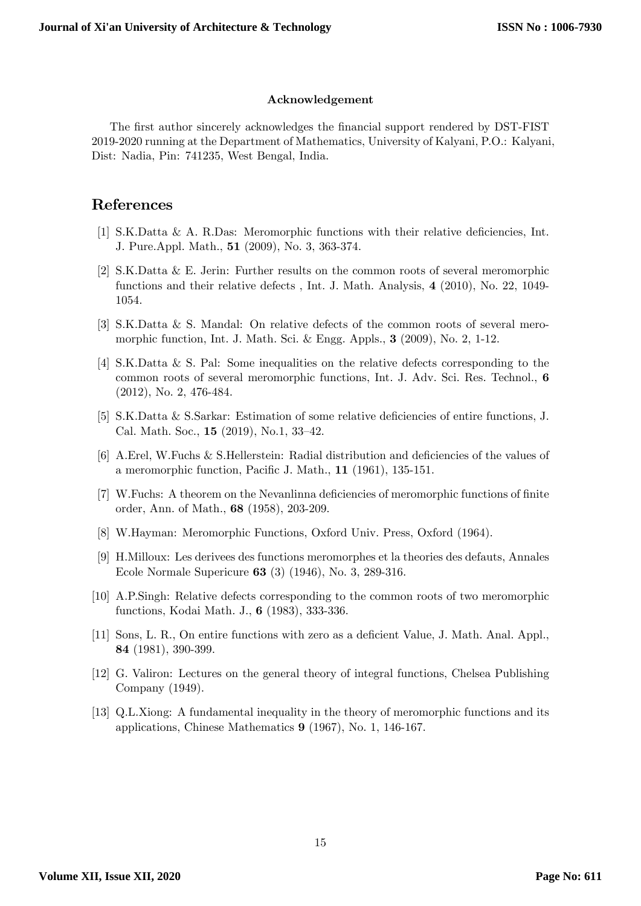#### Acknowledgement

The first author sincerely acknowledges the financial support rendered by DST-FIST 2019-2020 running at the Department of Mathematics, University of Kalyani, P.O.: Kalyani, Dist: Nadia, Pin: 741235, West Bengal, India.

## References

- [1] S.K.Datta & A. R.Das: Meromorphic functions with their relative deficiencies, Int. J. Pure.Appl. Math., 51 (2009), No. 3, 363-374.
- <span id="page-14-3"></span>[2] S.K.Datta & E. Jerin: Further results on the common roots of several meromorphic functions and their relative defects , Int. J. Math. Analysis, 4 (2010), No. 22, 1049- 1054.
- <span id="page-14-4"></span>[3] S.K.Datta & S. Mandal: On relative defects of the common roots of several meromorphic function, Int. J. Math. Sci. & Engg. Appls., 3 (2009), No. 2, 1-12.
- <span id="page-14-5"></span>[4] S.K.Datta & S. Pal: Some inequalities on the relative defects corresponding to the common roots of several meromorphic functions, Int. J. Adv. Sci. Res. Technol., 6 (2012), No. 2, 476-484.
- [5] S.K.Datta & S.Sarkar: Estimation of some relative deficiencies of entire functions, J. Cal. Math. Soc.,  $15$  (2019), No.1, 33-42.
- [6] A.Erel, W.Fuchs  $&$  S.Hellerstein: Radial distribution and deficiencies of the values of a meromorphic function, Pacific J. Math.,  $11$  (1961), 135-151.
- [7] W.Fuchs: A theorem on the Nevanlinna deficiencies of meromorphic functions of finite order, Ann. of Math., 68 (1958), 203-209.
- <span id="page-14-7"></span>[8] W.Hayman: Meromorphic Functions, Oxford Univ. Press, Oxford (1964).
- <span id="page-14-0"></span>[9] H.Milloux: Les derivees des functions meromorphes et la theories des defauts, Annales Ecole Normale Supericure 63 (3) (1946), No. 3, 289-316.
- <span id="page-14-2"></span>[10] A.P.Singh: Relative defects corresponding to the common roots of two meromorphic functions, Kodai Math. J., 6 (1983), 333-336.
- <span id="page-14-8"></span>[11] Sons, L. R., On entire functions with zero as a deficient Value, J. Math. Anal. Appl., 84 (1981), 390-399.
- <span id="page-14-6"></span>[12] G. Valiron: Lectures on the general theory of integral functions, Chelsea Publishing Company (1949).
- <span id="page-14-1"></span>[13] Q.L.Xiong: A fundamental inequality in the theory of meromorphic functions and its applications, Chinese Mathematics 9 (1967), No. 1, 146-167.